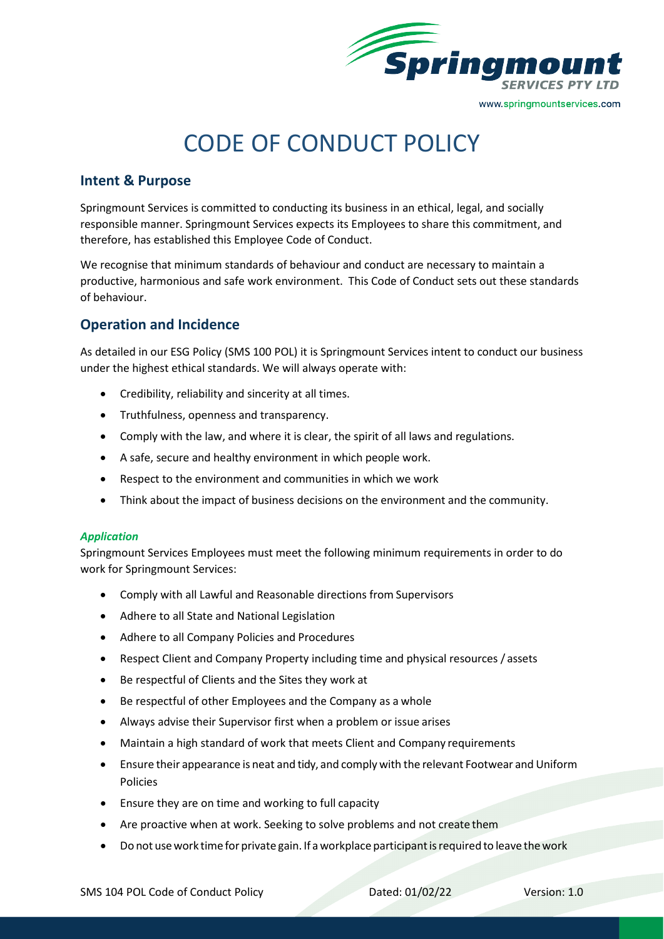

# CODE OF CONDUCT POLICY

## **Intent & Purpose**

Springmount Services is committed to conducting its business in an ethical, legal, and socially responsible manner. Springmount Services expects its Employees to share this commitment, and therefore, has established this Employee Code of Conduct.

We recognise that minimum standards of behaviour and conduct are necessary to maintain a productive, harmonious and safe work environment. This Code of Conduct sets out these standards of behaviour.

# **Operation and Incidence**

As detailed in our ESG Policy (SMS 100 POL) it is Springmount Services intent to conduct our business under the highest ethical standards. We will always operate with:

- Credibility, reliability and sincerity at all times.
- Truthfulness, openness and transparency.
- Comply with the law, and where it is clear, the spirit of all laws and regulations.
- A safe, secure and healthy environment in which people work.
- Respect to the environment and communities in which we work
- Think about the impact of business decisions on the environment and the community.

#### *Application*

Springmount Services Employees must meet the following minimum requirements in order to do work for Springmount Services:

- Comply with all Lawful and Reasonable directions from Supervisors
- Adhere to all State and National Legislation
- Adhere to all Company Policies and Procedures
- Respect Client and Company Property including time and physical resources / assets
- Be respectful of Clients and the Sites they work at
- Be respectful of other Employees and the Company as a whole
- Always advise their Supervisor first when a problem or issue arises
- Maintain a high standard of work that meets Client and Company requirements
- Ensure their appearance is neat and tidy, and comply with the relevant Footwear and Uniform Policies
- Ensure they are on time and working to full capacity
- Are proactive when at work. Seeking to solve problems and not create them
- Do not use work time for private gain. If a workplace participant is required to leave the work